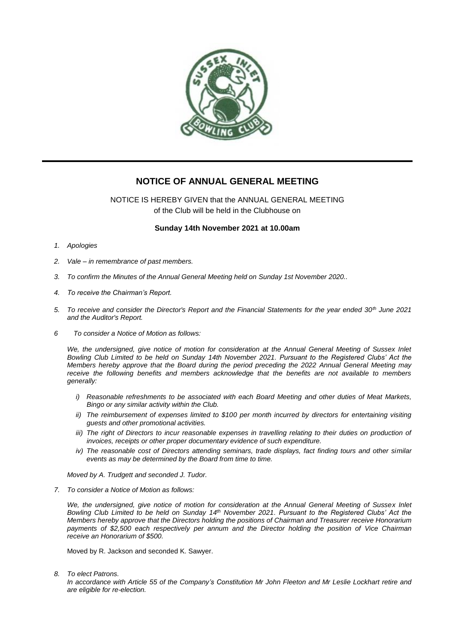

## **NOTICE OF ANNUAL GENERAL MEETING**

NOTICE IS HEREBY GIVEN that the ANNUAL GENERAL MEETING of the Club will be held in the Clubhouse on

## **Sunday 14th November 2021 at 10.00am**

- *1. Apologies*
- *2. Vale – in remembrance of past members.*
- *3. To confirm the Minutes of the Annual General Meeting held on Sunday 1st November 2020..*
- *4. To receive the Chairman's Report.*
- *5. To receive and consider the Director's Report and the Financial Statements for the year ended 30th June 2021 and the Auditor's Report.*
- *6 To consider a Notice of Motion as follows:*

*We, the undersigned, give notice of motion for consideration at the Annual General Meeting of Sussex Inlet Bowling Club Limited to be held on Sunday 14th November 2021. Pursuant to the Registered Clubs' Act the Members hereby approve that the Board during the period preceding the 2022 Annual General Meeting may receive the following benefits and members acknowledge that the benefits are not available to members generally:*

- *i) Reasonable refreshments to be associated with each Board Meeting and other duties of Meat Markets, Bingo or any similar activity within the Club.*
- *ii*) The reimbursement of expenses limited to \$100 per month incurred by directors for entertaining visiting *guests and other promotional activities.*
- *iii)* The right of Directors to incur reasonable expenses in travelling relating to their duties on production of *invoices, receipts or other proper documentary evidence of such expenditure.*
- *iv*) The reasonable cost of Directors attending seminars, trade displays, fact finding tours and other similar *events as may be determined by the Board from time to time.*

*Moved by A. Trudgett and seconded J. Tudor.* 

*7. To consider a Notice of Motion as follows:*

*We, the undersigned, give notice of motion for consideration at the Annual General Meeting of Sussex Inlet Bowling Club Limited to be held on Sunday 14th November 2021. Pursuant to the Registered Clubs' Act the Members hereby approve that the Directors holding the positions of Chairman and Treasurer receive Honorarium payments of \$2,500 each respectively per annum and the Director holding the position of Vice Chairman receive an Honorarium of \$500.*

Moved by R. Jackson and seconded K. Sawyer.

*8. To elect Patrons.*

*In accordance with Article 55 of the Company's Constitution Mr John Fleeton and Mr Leslie Lockhart retire and are eligible for re-election.*